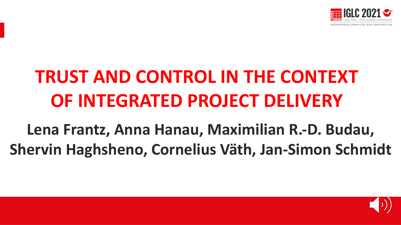

# **TRUST AND CONTROL IN THE CONTEXT OF INTEGRATED PROJECT DELIVERY**

**Lena Frantz, Anna Hanau, Maximilian R.-D. Budau, Shervin Haghsheno, Cornelius Väth, Jan-Simon Schmidt**

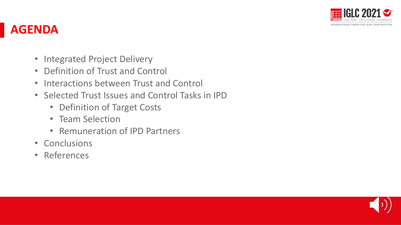

#### **AGENDA**

- Integrated Project Delivery
- Definition of Trust and Control
- Interactions between Trust and Control
- Selected Trust Issues and Control Tasks in IPD
	- Definition of Target Costs
	- Team Selection
	- Remuneration of IPD Partners
- Conclusions
- References

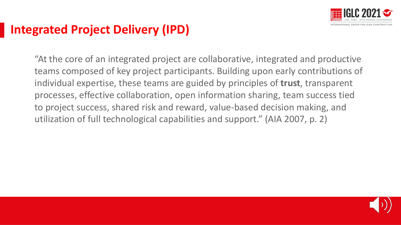

# **Integrated Project Delivery (IPD)**

"At the core of an integrated project are collaborative, integrated and productive teams composed of key project participants. Building upon early contributions of individual expertise, these teams are guided by principles of **trust**, transparent processes, effective collaboration, open information sharing, team success tied to project success, shared risk and reward, value-based decision making, and utilization of full technological capabilities and support." (AIA 2007, p. 2)

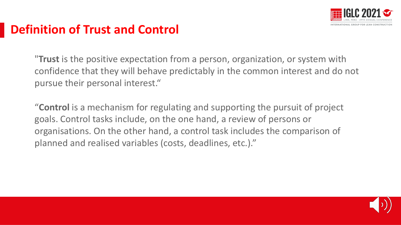

# **Definition of Trust and Control**

"**Trust** is the positive expectation from a person, organization, or system with confidence that they will behave predictably in the common interest and do not pursue their personal interest."

"**Control** is a mechanism for regulating and supporting the pursuit of project goals. Control tasks include, on the one hand, a review of persons or organisations. On the other hand, a control task includes the comparison of planned and realised variables (costs, deadlines, etc.)."

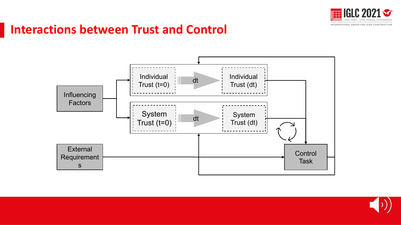

### **Interactions between Trust and Control**



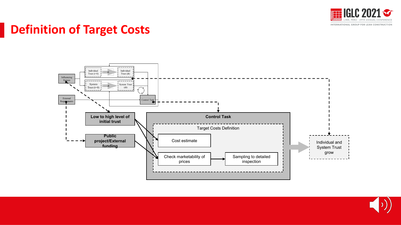

# **Definition of Target Costs**



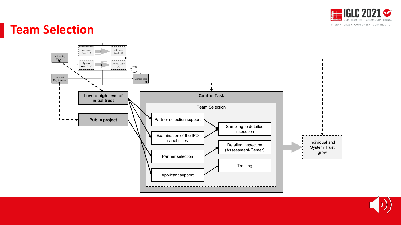

#### **Team Selection**



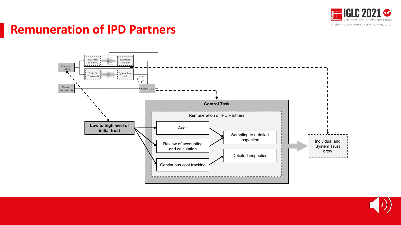

### **Remuneration of IPD Partners**



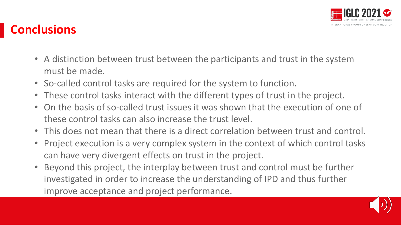

# **Conclusions**

- A distinction between trust between the participants and trust in the system must be made.
- So-called control tasks are required for the system to function.
- These control tasks interact with the different types of trust in the project.
- On the basis of so-called trust issues it was shown that the execution of one of these control tasks can also increase the trust level.
- This does not mean that there is a direct correlation between trust and control.
- Project execution is a very complex system in the context of which control tasks can have very divergent effects on trust in the project.
- Beyond this project, the interplay between trust and control must be further investigated in order to increase the understanding of IPD and thus further improve acceptance and project performance.

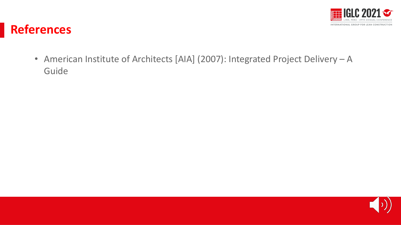

#### **References**

• American Institute of Architects [AIA] (2007): Integrated Project Delivery – A Guide